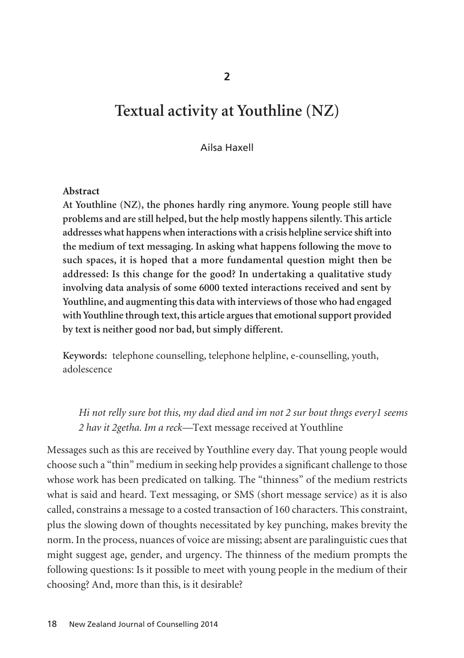**2**

# **Textual activity at Youthline (NZ)**

Ailsa Haxell

#### **Abstract**

**At Youthline (NZ), the phones hardly ring anymore. Young people still have problems and are still helped, but the help mostly happens silently. This article addresses what happens when interactions with a crisis helpline service shift into the medium of text messaging. In asking what happens following the move to such spaces, it is hoped that a more fundamental question might then be addressed: Is this change for the good? In undertaking a qualitative study involving data analysis of some 6000 texted interactions received and sent by Youthline, and augmenting this data with interviews of those who had engaged with Youthline through text, this article argues that emotional support provided by text is neither good nor bad, but simply different.**

**Keywords:** telephone counselling, telephone helpline, e-counselling, youth, adolescence

*Hi not relly sure bot this, my dad died and im not 2 sur bout thngs every1 seems 2 hav it 2getha. Im a reck—*Text message received at Youthline

Messages such as this are received by Youthline every day. That young people would choose such a "thin" medium in seeking help provides a significant challenge to those whose work has been predicated on talking. The "thinness" of the medium restricts what is said and heard. Text messaging, or SMS (short message service) as it is also called, constrains a message to a costed transaction of 160 characters. This constraint, plus the slowing down of thoughts necessitated by key punching, makes brevity the norm. In the process, nuances of voice are missing; absent are paralinguistic cues that might suggest age, gender, and urgency. The thinness of the medium prompts the following questions: Is it possible to meet with young people in the medium of their choosing? And, more than this, is it desirable?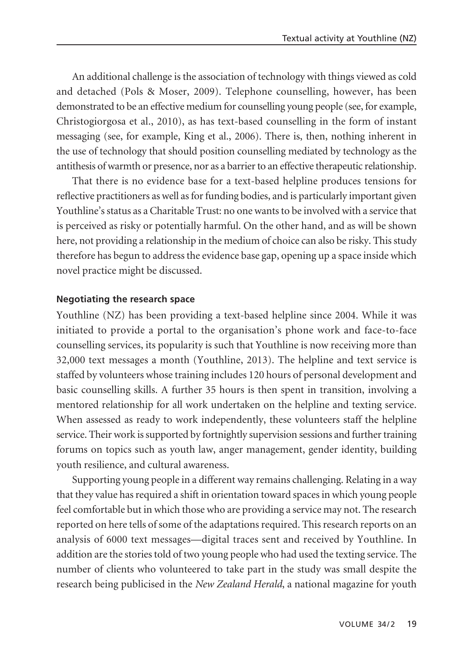An additional challenge is the association of technology with things viewed as cold and detached (Pols & Moser, 2009). Telephone counselling, however, has been demonstrated to be an effective medium for counselling young people (see, for example, Christogiorgosa et al., 2010), as has text-based counselling in the form of instant messaging (see, for example, King et al., 2006). There is, then, nothing inherent in the use of technology that should position counselling mediated by technology as the antithesis of warmth or presence, nor as a barrier to an effective therapeutic relationship.

That there is no evidence base for a text-based helpline produces tensions for reflective practitioners as well as for funding bodies, and is particularly important given Youthline's status as a Charitable Trust: no one wants to be involved with a service that is perceived as risky or potentially harmful. On the other hand, and as will be shown here, not providing a relationship in the medium of choice can also be risky. This study therefore has begun to address the evidence base gap, opening up a space inside which novel practice might be discussed.

#### **Negotiating the research space**

Youthline (NZ) has been providing a text-based helpline since 2004. While it was initiated to provide a portal to the organisation's phone work and face-to-face counselling services, its popularity is such that Youthline is now receiving more than 32,000 text messages a month (Youthline, 2013). The helpline and text service is staffed by volunteers whose training includes 120 hours of personal development and basic counselling skills. A further 35 hours is then spent in transition, involving a mentored relationship for all work undertaken on the helpline and texting service. When assessed as ready to work independently, these volunteers staff the helpline service. Their work is supported by fortnightly supervision sessions and further training forums on topics such as youth law, anger management, gender identity, building youth resilience, and cultural awareness.

Supporting young people in a different way remains challenging. Relating in a way that they value has required a shift in orientation toward spaces in which young people feel comfortable but in which those who are providing a service may not. The research reported on here tells of some of the adaptations required. This research reports on an analysis of 6000 text messages—digital traces sent and received by Youthline. In addition are the stories told of two young people who had used the texting service. The number of clients who volunteered to take part in the study was small despite the research being publicised in the *New Zealand Herald*, a national magazine for youth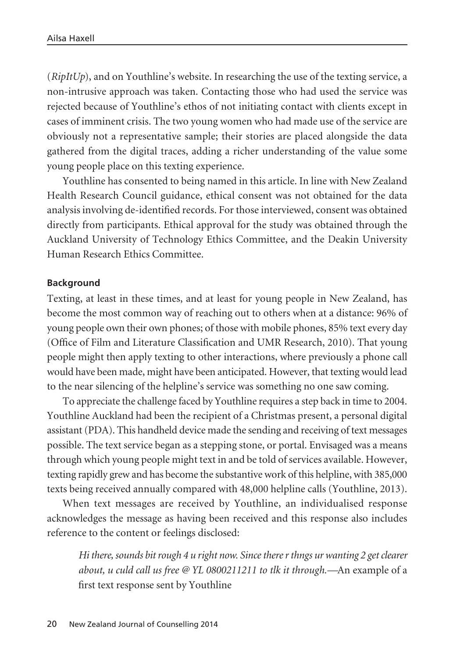(*RipItUp*), and on Youthline's website. In researching the use of the texting service, a non-intrusive approach was taken. Contacting those who had used the service was rejected because of Youthline's ethos of not initiating contact with clients except in cases of imminent crisis. The two young women who had made use of the service are obviously not a representative sample; their stories are placed alongside the data gathered from the digital traces, adding a richer understanding of the value some young people place on this texting experience.

Youthline has consented to being named in this article. In line with New Zealand Health Research Council guidance, ethical consent was not obtained for the data analysis involving de-identified records. For those interviewed, consent was obtained directly from participants. Ethical approval for the study was obtained through the Auckland University of Technology Ethics Committee, and the Deakin University Human Research Ethics Committee.

## **Background**

Texting, at least in these times, and at least for young people in New Zealand, has become the most common way of reaching out to others when at a distance: 96% of young people own their own phones; of those with mobile phones, 85% text every day (Office of Film and Literature Classification and UMR Research, 2010). That young people might then apply texting to other interactions, where previously a phone call would have been made, might have been anticipated. However, that texting would lead to the near silencing of the helpline's service was something no one saw coming.

To appreciate the challenge faced by Youthline requires a step back in time to 2004. Youthline Auckland had been the recipient of a Christmas present, a personal digital assistant (PDA). This handheld device made the sending and receiving of text messages possible. The text service began as a stepping stone, or portal. Envisaged was a means through which young people might text in and be told of services available. However, texting rapidly grew and has become the substantive work of this helpline, with 385,000 texts being received annually compared with 48,000 helpline calls (Youthline, 2013).

When text messages are received by Youthline, an individualised response acknowledges the message as having been received and this response also includes reference to the content or feelings disclosed:

*Hi there, sounds bit rough 4 u right now. Since there r thngs ur wanting 2 get clearer about, u culd call us free @ YL 0800211211 to tlk it through.—*An example of a first text response sent by Youthline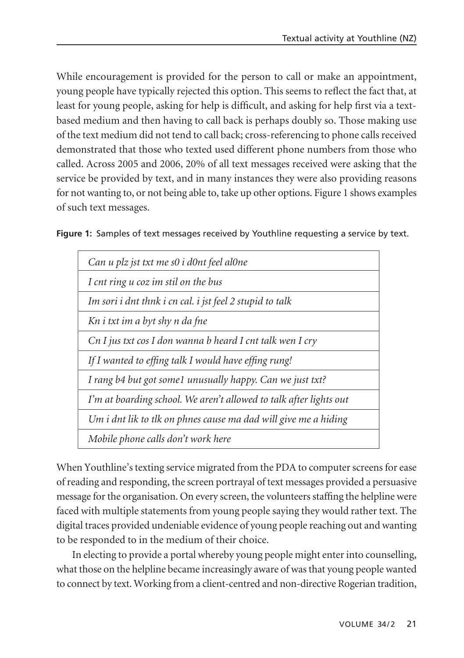While encouragement is provided for the person to call or make an appointment, young people have typically rejected this option. This seems to reflect the fact that, at least for young people, asking for help is difficult, and asking for help first via a textbased medium and then having to call back is perhaps doubly so. Those making use of the text medium did not tend to call back; cross-referencing to phone calls received demonstrated that those who texted used different phone numbers from those who called. Across 2005 and 2006, 20% of all text messages received were asking that the service be provided by text, and in many instances they were also providing reasons for not wanting to, or not being able to, take up other options. Figure 1 shows examples of such text messages.

| Can u plz jst txt me s0 i d0nt feel al0ne                          |
|--------------------------------------------------------------------|
| I cnt ring u coz im stil on the bus                                |
| Im sori i dnt thnk i cn cal. i jst feel 2 stupid to talk           |
| Kn i txt im a byt shy n da fne                                     |
| Cn I jus txt cos I don wanna b heard I cnt talk wen I cry          |
| If I wanted to effing talk I would have effing rung!               |
| I rang b4 but got some1 unusually happy. Can we just txt?          |
| I'm at boarding school. We aren't allowed to talk after lights out |
| Um i dnt lik to tlk on phnes cause ma dad will give me a hiding    |
| Mobile phone calls don't work here                                 |

**Figure 1:** Samples of text messages received by Youthline requesting a service by text.

When Youthline's texting service migrated from the PDA to computer screens for ease of reading and responding, the screen portrayal of text messages provided a persuasive message for the organisation. On every screen, the volunteers staffing the helpline were faced with multiple statements from young people saying they would rather text. The digital traces provided undeniable evidence of young people reaching out and wanting to be responded to in the medium of their choice.

In electing to provide a portal whereby young people might enter into counselling, what those on the helpline became increasingly aware of was that young people wanted to connect by text. Working from a client-centred and non-directive Rogerian tradition,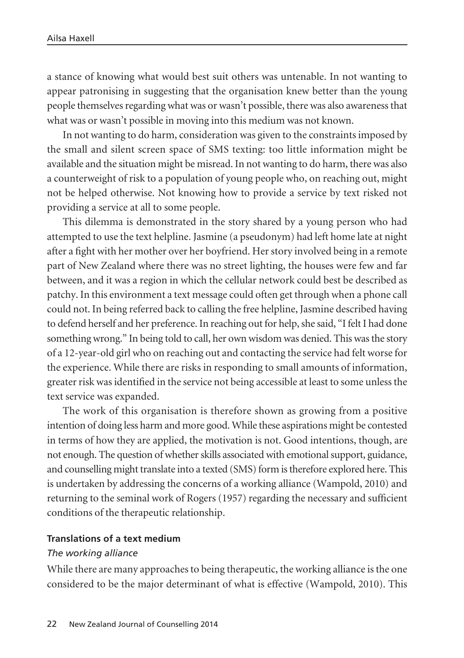a stance of knowing what would best suit others was untenable. In not wanting to appear patronising in suggesting that the organisation knew better than the young people themselves regarding what was or wasn't possible, there was also awareness that what was or wasn't possible in moving into this medium was not known.

In not wanting to do harm, consideration was given to the constraints imposed by the small and silent screen space of SMS texting: too little information might be available and the situation might be misread. In not wanting to do harm, there was also a counterweight of risk to a population of young people who, on reaching out, might not be helped otherwise. Not knowing how to provide a service by text risked not providing a service at all to some people.

This dilemma is demonstrated in the story shared by a young person who had attempted to use the text helpline. Jasmine (a pseudonym) had left home late at night after a fight with her mother over her boyfriend. Her story involved being in a remote part of New Zealand where there was no street lighting, the houses were few and far between, and it was a region in which the cellular network could best be described as patchy. In this environment a text message could often get through when a phone call could not. In being referred back to calling the free helpline, Jasmine described having to defend herself and her preference. In reaching out for help, she said, "I felt I had done something wrong." In being told to call, her own wisdom was denied. This was the story of a 12-year-old girl who on reaching out and contacting the service had felt worse for the experience. While there are risks in responding to small amounts of information, greater risk was identified in the service not being accessible at least to some unless the text service was expanded.

The work of this organisation is therefore shown as growing from a positive intention of doing less harm and more good. While these aspirations might be contested in terms of how they are applied, the motivation is not. Good intentions, though, are not enough. The question of whether skills associated with emotional support, guidance, and counselling might translate into a texted (SMS) form is therefore explored here. This is undertaken by addressing the concerns of a working alliance (Wampold, 2010) and returning to the seminal work of Rogers (1957) regarding the necessary and sufficient conditions of the therapeutic relationship.

#### **Translations of a text medium**

## *The working alliance*

While there are many approaches to being therapeutic, the working alliance is the one considered to be the major determinant of what is effective (Wampold, 2010). This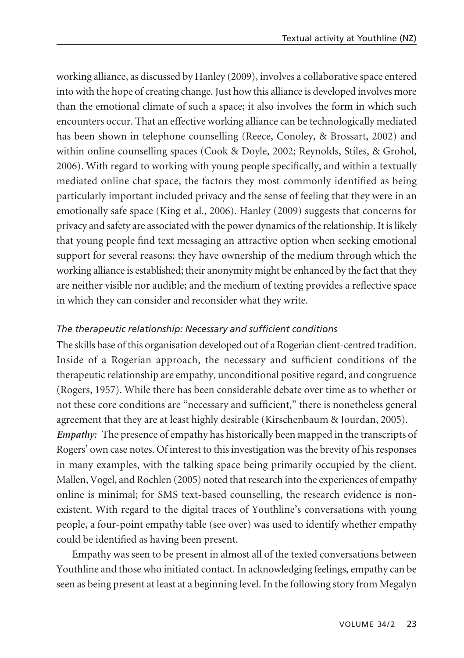working alliance, as discussed by Hanley (2009), involves a collaborative space entered into with the hope of creating change. Just how this alliance is developed involves more than the emotional climate of such a space; it also involves the form in which such encounters occur. That an effective working alliance can be technologically mediated has been shown in telephone counselling (Reece, Conoley, & Brossart, 2002) and within online counselling spaces (Cook & Doyle, 2002; Reynolds, Stiles, & Grohol, 2006). With regard to working with young people specifically, and within a textually mediated online chat space, the factors they most commonly identified as being particularly important included privacy and the sense of feeling that they were in an emotionally safe space (King et al., 2006). Hanley (2009) suggests that concerns for privacy and safety are associated with the power dynamics of the relationship. It is likely that young people find text messaging an attractive option when seeking emotional support for several reasons: they have ownership of the medium through which the working alliance is established; their anonymity might be enhanced by the fact that they are neither visible nor audible; and the medium of texting provides a reflective space in which they can consider and reconsider what they write.

## *The therapeutic relationship: Necessary and sufficient conditions*

The skills base of this organisation developed out of a Rogerian client-centred tradition. Inside of a Rogerian approach, the necessary and sufficient conditions of the therapeutic relationship are empathy, unconditional positive regard, and congruence (Rogers, 1957). While there has been considerable debate over time as to whether or not these core conditions are "necessary and sufficient," there is nonetheless general agreement that they are at least highly desirable (Kirschenbaum & Jourdan, 2005). *Empathy:* The presence of empathy has historically been mapped in the transcripts of Rogers' own case notes. Of interest to this investigation was the brevity of his responses in many examples, with the talking space being primarily occupied by the client. Mallen, Vogel, and Rochlen (2005) noted that research into the experiences of empathy online is minimal; for SMS text-based counselling, the research evidence is nonexistent. With regard to the digital traces of Youthline's conversations with young people, a four-point empathy table (see over) was used to identify whether empathy could be identified as having been present.

Empathy was seen to be present in almost all of the texted conversations between Youthline and those who initiated contact. In acknowledging feelings, empathy can be seen as being present at least at a beginning level. In the following story from Megalyn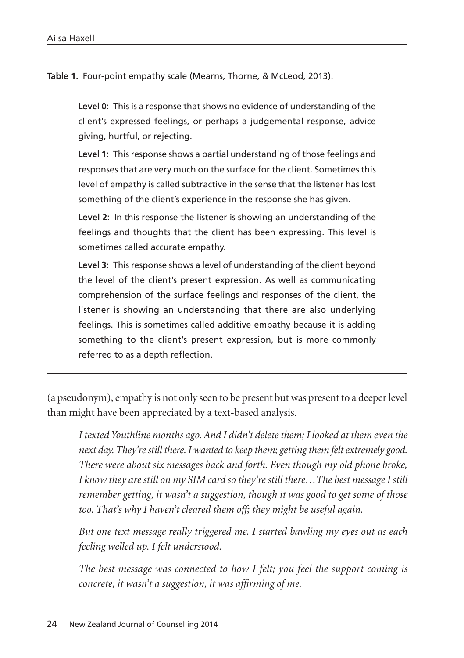**Table 1.** Four-point empathy scale (Mearns, Thorne, & McLeod, 2013).

**Level 0:** This is a response that shows no evidence of understanding of the client's expressed feelings, or perhaps a judgemental response, advice giving, hurtful, or rejecting.

**Level 1:** This response shows a partial understanding of those feelings and responses that are very much on the surface for the client. Sometimes this level of empathy is called subtractive in the sense that the listener has lost something of the client's experience in the response she has given.

**Level 2:** In this response the listener is showing an understanding of the feelings and thoughts that the client has been expressing. This level is sometimes called accurate empathy.

**Level 3:** This response shows a level of understanding of the client beyond the level of the client's present expression. As well as communicating comprehension of the surface feelings and responses of the client, the listener is showing an understanding that there are also underlying feelings. This is sometimes called additive empathy because it is adding something to the client's present expression, but is more commonly referred to as a depth reflection.

(a pseudonym), empathy is not only seen to be present but was present to a deeper level than might have been appreciated by a text-based analysis.

*I texted Youthline months ago. And I didn't delete them; I looked at them even the next day. They're still there. I wanted to keep them; getting them felt extremely good. There were about six messages back and forth. Even though my old phone broke, I know they are still on my SIM card so they're still there…The best message I still remember getting, it wasn't a suggestion, though it was good to get some of those too. That's why I haven't cleared them off; they might be useful again.* 

*But one text message really triggered me. I started bawling my eyes out as each feeling welled up. I felt understood.* 

*The best message was connected to how I felt; you feel the support coming is concrete; it wasn't a suggestion, it was affirming of me.*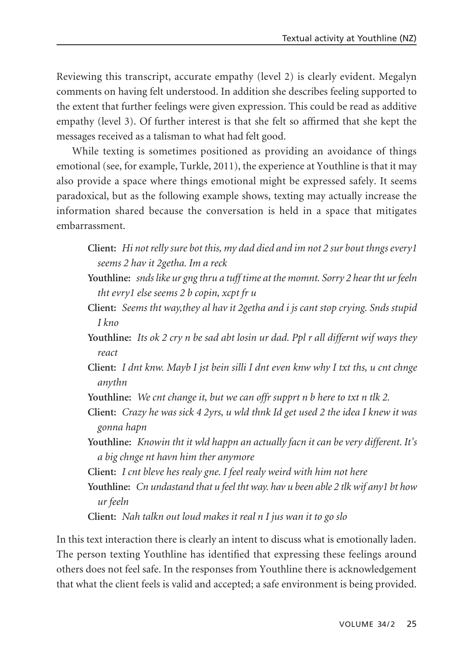Reviewing this transcript, accurate empathy (level 2) is clearly evident. Megalyn comments on having felt understood. In addition she describes feeling supported to the extent that further feelings were given expression. This could be read as additive empathy (level 3). Of further interest is that she felt so affirmed that she kept the messages received as a talisman to what had felt good.

While texting is sometimes positioned as providing an avoidance of things emotional (see, for example, Turkle, 2011), the experience at Youthline is that it may also provide a space where things emotional might be expressed safely. It seems paradoxical, but as the following example shows, texting may actually increase the information shared because the conversation is held in a space that mitigates embarrassment.

- **Client:** *Hi not relly sure bot this, my dad died and im not 2 sur bout thngs every1 seems 2 hav it 2getha. Im a reck*
- **Youthline:** *snds like ur gng thru a tuff time at the momnt. Sorry 2 hear tht ur feeln tht evry1 else seems 2 b copin, xcpt fr u*
- **Client:** *Seems tht way,they al hav it 2getha and i js cant stop crying. Snds stupid I kno*
- **Youthline:** *Its ok 2 cry n be sad abt losin ur dad. Ppl r all differnt wif ways they react*
- **Client:** *I dnt knw. Mayb I jst bein silli I dnt even knw why I txt ths, u cnt chnge anythn*
- **Youthline:** *We cnt change it, but we can offr supprt n b here to txt n tlk 2.*
- **Client:** *Crazy he was sick 4 2yrs, u wld thnk Id get used 2 the idea I knew it was gonna hapn*
- **Youthline:** *Knowin tht it wld happn an actually facn it can be very different. It's a big chnge nt havn him ther anymore*
- **Client:** *I cnt bleve hes realy gne. I feel realy weird with him not here*
- **Youthline:** *Cn undastand that u feel tht way. hav u been able 2 tlk wif any1 bt how ur feeln*

**Client:** *Nah talkn out loud makes it real n I jus wan it to go slo*

In this text interaction there is clearly an intent to discuss what is emotionally laden. The person texting Youthline has identified that expressing these feelings around others does not feel safe. In the responses from Youthline there is acknowledgement that what the client feels is valid and accepted; a safe environment is being provided.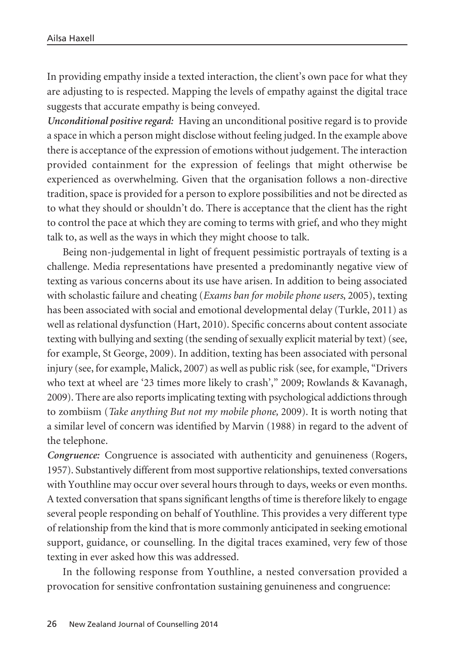In providing empathy inside a texted interaction, the client's own pace for what they are adjusting to is respected. Mapping the levels of empathy against the digital trace suggests that accurate empathy is being conveyed.

*Unconditional positive regard:* Having an unconditional positive regard is to provide a space in which a person might disclose without feeling judged. In the example above there is acceptance of the expression of emotions without judgement. The interaction provided containment for the expression of feelings that might otherwise be experienced as overwhelming. Given that the organisation follows a non-directive tradition, space is provided for a person to explore possibilities and not be directed as to what they should or shouldn't do. There is acceptance that the client has the right to control the pace at which they are coming to terms with grief, and who they might talk to, as well as the ways in which they might choose to talk.

Being non-judgemental in light of frequent pessimistic portrayals of texting is a challenge. Media representations have presented a predominantly negative view of texting as various concerns about its use have arisen. In addition to being associated with scholastic failure and cheating (*Exams ban for mobile phone users*, 2005), texting has been associated with social and emotional developmental delay (Turkle, 2011) as well as relational dysfunction (Hart, 2010). Specific concerns about content associate texting with bullying and sexting (the sending of sexually explicit material by text) (see, for example, St George, 2009). In addition, texting has been associated with personal injury (see, for example, Malick, 2007) as well as public risk (see, for example, "Drivers who text at wheel are '23 times more likely to crash'," 2009; Rowlands & Kavanagh, 2009). There are also reports implicating texting with psychological addictions through to zombiism (*Take anything But not my mobile phone,* 2009). It is worth noting that a similar level of concern was identified by Marvin (1988) in regard to the advent of the telephone.

*Congruence:* Congruence is associated with authenticity and genuineness (Rogers, 1957). Substantively different from most supportive relationships, texted conversations with Youthline may occur over several hours through to days, weeks or even months. A texted conversation that spans significant lengths of time is therefore likely to engage several people responding on behalf of Youthline. This provides a very different type of relationship from the kind that is more commonly anticipated in seeking emotional support, guidance, or counselling. In the digital traces examined, very few of those texting in ever asked how this was addressed.

In the following response from Youthline, a nested conversation provided a provocation for sensitive confrontation sustaining genuineness and congruence: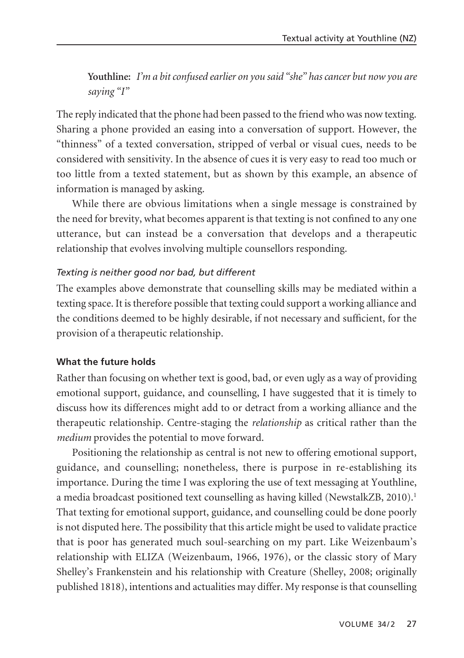**Youthline:** *I'm a bit confused earlier on you said "she" has cancer but now you are saying "I"*

The reply indicated that the phone had been passed to the friend who was now texting. Sharing a phone provided an easing into a conversation of support. However, the "thinness" of a texted conversation, stripped of verbal or visual cues, needs to be considered with sensitivity. In the absence of cues it is very easy to read too much or too little from a texted statement, but as shown by this example, an absence of information is managed by asking.

While there are obvious limitations when a single message is constrained by the need for brevity, what becomes apparent is that texting is not confined to any one utterance, but can instead be a conversation that develops and a therapeutic relationship that evolves involving multiple counsellors responding.

## *Texting is neither good nor bad, but different*

The examples above demonstrate that counselling skills may be mediated within a texting space. It is therefore possible that texting could support a working alliance and the conditions deemed to be highly desirable, if not necessary and sufficient, for the provision of a therapeutic relationship.

## **What the future holds**

Rather than focusing on whether text is good, bad, or even ugly as a way of providing emotional support, guidance, and counselling, I have suggested that it is timely to discuss how its differences might add to or detract from a working alliance and the therapeutic relationship. Centre-staging the *relationship* as critical rather than the *medium* provides the potential to move forward.

Positioning the relationship as central is not new to offering emotional support, guidance, and counselling; nonetheless, there is purpose in re-establishing its importance. During the time I was exploring the use of text messaging at Youthline, a media broadcast positioned text counselling as having killed (NewstalkZB, 2010).<sup>1</sup> That texting for emotional support, guidance, and counselling could be done poorly is not disputed here. The possibility that this article might be used to validate practice that is poor has generated much soul-searching on my part. Like Weizenbaum's relationship with ELIZA (Weizenbaum, 1966, 1976), or the classic story of Mary Shelley's Frankenstein and his relationship with Creature (Shelley, 2008; originally published 1818), intentions and actualities may differ. My response is that counselling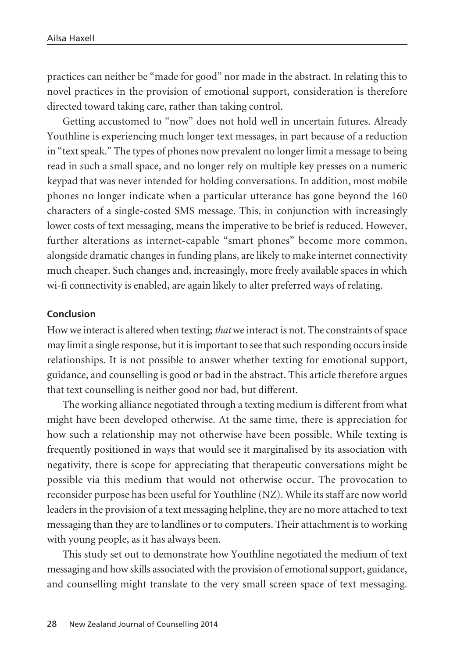practices can neither be "made for good" nor made in the abstract. In relating this to novel practices in the provision of emotional support, consideration is therefore directed toward taking care, rather than taking control.

Getting accustomed to "now" does not hold well in uncertain futures. Already Youthline is experiencing much longer text messages, in part because of a reduction in "text speak." The types of phones now prevalent no longer limit a message to being read in such a small space, and no longer rely on multiple key presses on a numeric keypad that was never intended for holding conversations. In addition, most mobile phones no longer indicate when a particular utterance has gone beyond the 160 characters of a single-costed SMS message. This, in conjunction with increasingly lower costs of text messaging, means the imperative to be brief is reduced. However, further alterations as internet-capable "smart phones" become more common, alongside dramatic changes in funding plans, are likely to make internet connectivity much cheaper. Such changes and, increasingly, more freely available spaces in which wi-fi connectivity is enabled, are again likely to alter preferred ways of relating.

#### **Conclusion**

How we interact is altered when texting; *that* we interact is not. The constraints of space may limit a single response, but it is important to see that such responding occurs inside relationships. It is not possible to answer whether texting for emotional support, guidance, and counselling is good or bad in the abstract. This article therefore argues that text counselling is neither good nor bad, but different.

The working alliance negotiated through a texting medium is different from what might have been developed otherwise. At the same time, there is appreciation for how such a relationship may not otherwise have been possible. While texting is frequently positioned in ways that would see it marginalised by its association with negativity, there is scope for appreciating that therapeutic conversations might be possible via this medium that would not otherwise occur. The provocation to reconsider purpose has been useful for Youthline (NZ). While its staff are now world leaders in the provision of a text messaging helpline, they are no more attached to text messaging than they are to landlines or to computers. Their attachment is to working with young people, as it has always been.

This study set out to demonstrate how Youthline negotiated the medium of text messaging and how skills associated with the provision of emotional support, guidance, and counselling might translate to the very small screen space of text messaging.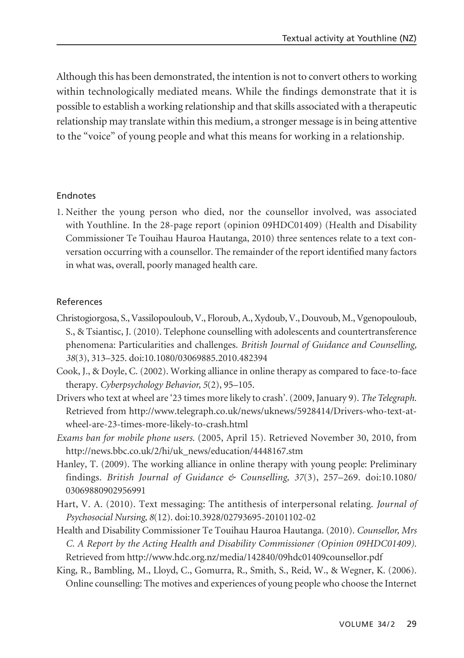Although this has been demonstrated, the intention is not to convert others to working within technologically mediated means. While the findings demonstrate that it is possible to establish a working relationship and that skills associated with a therapeutic relationship may translate within this medium, a stronger message is in being attentive to the "voice" of young people and what this means for working in a relationship.

#### Endnotes

1. Neither the young person who died, nor the counsellor involved, was associated with Youthline. In the 28-page report (opinion 09HDC01409) (Health and Disability Commissioner Te Touihau Hauroa Hautanga, 2010) three sentences relate to a text conversation occurring with a counsellor. The remainder of the report identified many factors in what was, overall, poorly managed health care.

## References

- Christogiorgosa, S., Vassilopouloub, V., Floroub, A., Xydoub, V., Douvoub, M., Vgenopouloub, S., & Tsiantisc, J. (2010). Telephone counselling with adolescents and countertransference phenomena: Particularities and challenges. *British Journal of Guidance and Counselling, 38*(3), 313–325. doi:10.1080/03069885.2010.482394
- Cook, J., & Doyle, C. (2002). Working alliance in online therapy as compared to face-to-face therapy. *Cyberpsychology Behavior, 5*(2), 95–105.
- Drivers who text at wheel are '23 times more likely to crash'. (2009, January 9). *The Telegraph*. Retrieved from http://www.telegraph.co.uk/news/uknews/5928414/Drivers-who-text-atwheel-are-23-times-more-likely-to-crash.html
- *Exams ban for mobile phone users*. (2005, April 15). Retrieved November 30, 2010, from http://news.bbc.co.uk/2/hi/uk\_news/education/4448167.stm
- Hanley, T. (2009). The working alliance in online therapy with young people: Preliminary findings. *British Journal of Guidance & Counselling, 37*(3), 257–269. doi:10.1080/ 03069880902956991
- Hart, V. A. (2010). Text messaging: The antithesis of interpersonal relating. *Journal of Psychosocial Nursing, 8*(12). doi:10.3928/02793695-20101102-02
- Health and Disability Commissioner Te Touihau Hauroa Hautanga. (2010). *Counsellor, Mrs C. A Report by the Acting Health and Disability Commissioner (Opinion 09HDC01409)*. Retrieved from http://www.hdc.org.nz/media/142840/09hdc01409counsellor.pdf
- King, R., Bambling, M., Lloyd, C., Gomurra, R., Smith, S., Reid, W., & Wegner, K. (2006). Online counselling: The motives and experiences of young people who choose the Internet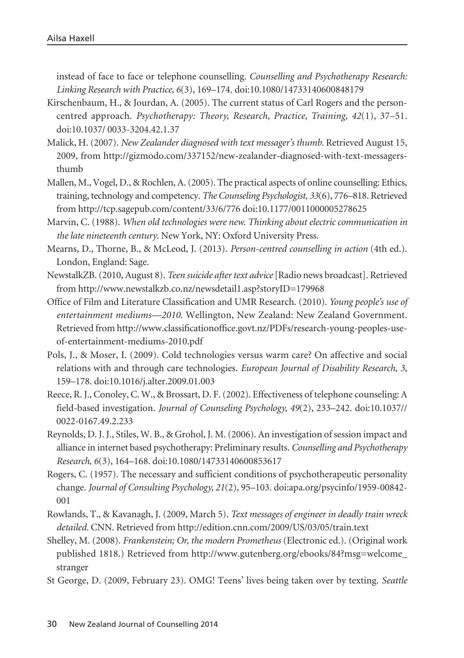instead of face to face or telephone counselling. *Counselling and Psychotherapy Research: Linking Research with Practice, 6*(3), 169–174. doi:10.1080/14733140600848179

- Kirschenbaum, H., & Jourdan, A. (2005). The current status of Carl Rogers and the personcentred approach. *Psychotherapy: Theory, Research, Practice, Training, 42*(1), 37–51. doi:10.1037/ 0033-3204.42.1.37
- Malick, H. (2007). *New Zealander diagnosed with text messager's thumb*. Retrieved August 15, 2009, from http://gizmodo.com/337152/new-zealander-diagnosed-with-text-messagersthumb
- Mallen, M., Vogel, D., & Rochlen, A. (2005). The practical aspects of online counselling: Ethics, training, technology and competency. *The Counseling Psychologist, 33*(6), 776–818. Retrieved from http://tcp.sagepub.com/content/33/6/776 doi:10.1177/0011000005278625
- Marvin, C. (1988). *When old technologies were new. Thinking about electric communication in the late nineteenth century*. New York, NY: Oxford University Press.
- Mearns, D., Thorne, B., & McLeod, J. (2013). *Person-centred counselling in action* (4th ed.). London, England: Sage.
- NewstalkZB. (2010, August 8). *Teen suicide after text advice*[Radio news broadcast]. Retrieved from http://www.newstalkzb.co.nz/newsdetail1.asp?storyID=179968
- Office of Film and Literature Classification and UMR Research. (2010). *Young people's use of entertainment mediums—2010*. Wellington, New Zealand: New Zealand Government. Retrieved from http://www.classificationoffice.govt.nz/PDFs/research-young-peoples-useof-entertainment-mediums-2010.pdf
- Pols, J., & Moser, I. (2009). Cold technologies versus warm care? On affective and social relations with and through care technologies. *European Journal of Disability Research, 3*, 159–178. doi:10.1016/j.alter.2009.01.003
- Reece, R. J., Conoley, C. W., & Brossart, D. F. (2002). Effectiveness of telephone counseling: A field-based investigation. *Journal of Counseling Psychology, 49*(2), 233–242. doi:10.1037// 0022-0167.49.2.233
- Reynolds, D. J. J., Stiles, W. B., & Grohol, J. M. (2006). An investigation of session impact and alliance in internet based psychotherapy: Preliminary results. *Counselling and Psychotherapy Research, 6*(3), 164–168. doi:10.1080/14733140600853617
- Rogers, C. (1957). The necessary and sufficient conditions of psychotherapeutic personality change. *Journal of Consulting Psychology, 21*(2), 95–103. doi:apa.org/psycinfo/1959-00842- 001
- Rowlands, T., & Kavanagh, J. (2009, March 5). *Text messages of engineer in deadly train wreck detailed*. CNN. Retrieved from http://edition.cnn.com/2009/US/03/05/train.text
- Shelley, M. (2008). *Frankenstein; Or, the modern Prometheus* (Electronic ed.). (Original work published 1818.) Retrieved from http://www.gutenberg.org/ebooks/84?msg=welcome\_ stranger
- St George, D. (2009, February 23). OMG! Teens' lives being taken over by texting. *Seattle*